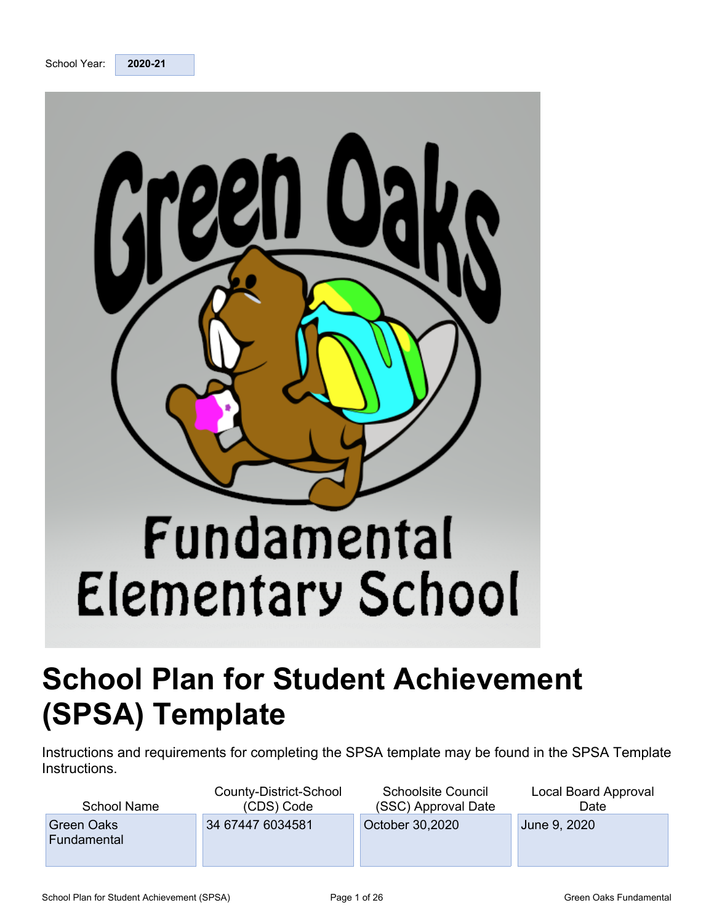



# **School Plan for Student Achievement (SPSA) Template**

Instructions and requirements for completing the SPSA template may be found in the SPSA Template Instructions.

| <b>School Name</b>               | County-District-School | <b>Schoolsite Council</b> | Local Board Approval |
|----------------------------------|------------------------|---------------------------|----------------------|
|                                  | (CDS) Code             | (SSC) Approval Date       | Date                 |
| <b>Green Oaks</b><br>Fundamental | 34 67447 6034581       | October 30,2020           | June 9, 2020         |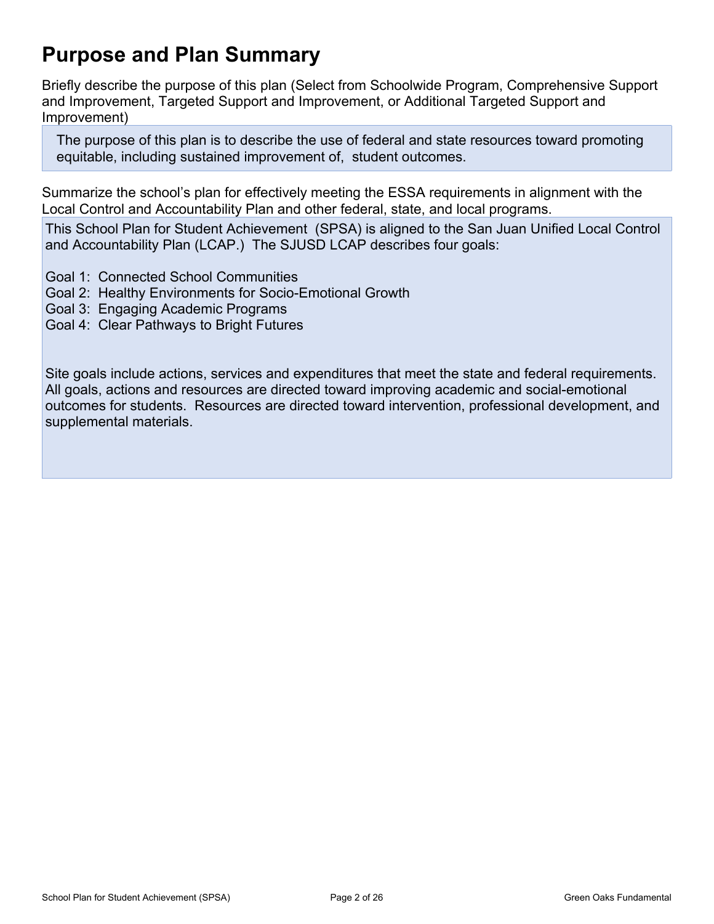# **Purpose and Plan Summary**

Briefly describe the purpose of this plan (Select from Schoolwide Program, Comprehensive Support and Improvement, Targeted Support and Improvement, or Additional Targeted Support and Improvement)

The purpose of this plan is to describe the use of federal and state resources toward promoting equitable, including sustained improvement of, student outcomes.

Summarize the school's plan for effectively meeting the ESSA requirements in alignment with the Local Control and Accountability Plan and other federal, state, and local programs.

This School Plan for Student Achievement (SPSA) is aligned to the San Juan Unified Local Control and Accountability Plan (LCAP.) The SJUSD LCAP describes four goals:

- Goal 1: Connected School Communities
- Goal 2: Healthy Environments for Socio-Emotional Growth
- Goal 3: Engaging Academic Programs
- Goal 4: Clear Pathways to Bright Futures

Site goals include actions, services and expenditures that meet the state and federal requirements. All goals, actions and resources are directed toward improving academic and social-emotional outcomes for students. Resources are directed toward intervention, professional development, and supplemental materials.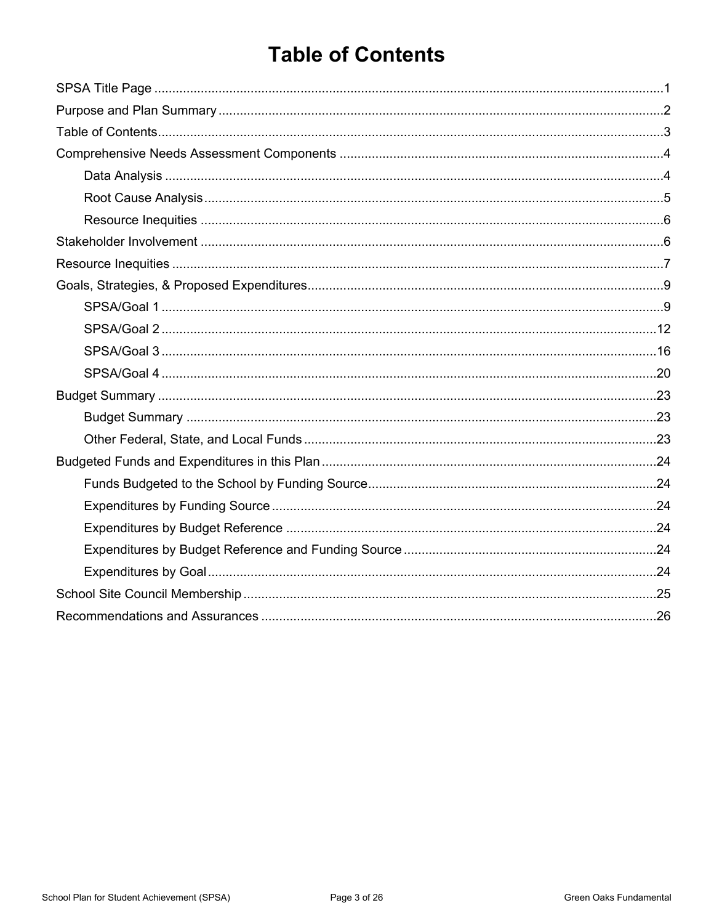# **Table of Contents**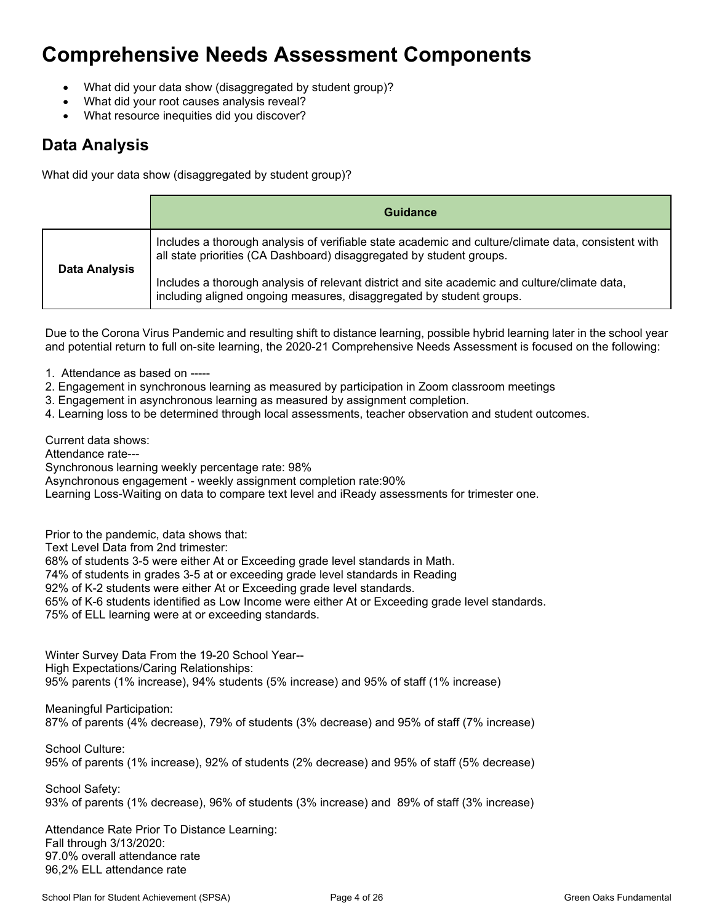### **Comprehensive Needs Assessment Components**

- What did your data show (disaggregated by student group)?
- What did your root causes analysis reveal?
- What resource inequities did you discover?

### **Data Analysis**

What did your data show (disaggregated by student group)?

|                      | Guidance                                                                                                                                                                    |
|----------------------|-----------------------------------------------------------------------------------------------------------------------------------------------------------------------------|
| <b>Data Analysis</b> | Includes a thorough analysis of verifiable state academic and culture/climate data, consistent with<br>all state priorities (CA Dashboard) disaggregated by student groups. |
|                      | Includes a thorough analysis of relevant district and site academic and culture/climate data,<br>including aligned ongoing measures, disaggregated by student groups.       |

Due to the Corona Virus Pandemic and resulting shift to distance learning, possible hybrid learning later in the school year and potential return to full on-site learning, the 2020-21 Comprehensive Needs Assessment is focused on the following:

- 1. Attendance as based on -----
- 2. Engagement in synchronous learning as measured by participation in Zoom classroom meetings
- 3. Engagement in asynchronous learning as measured by assignment completion.
- 4. Learning loss to be determined through local assessments, teacher observation and student outcomes.

Current data shows: Attendance rate---

Synchronous learning weekly percentage rate: 98%

Asynchronous engagement - weekly assignment completion rate:90%

Learning Loss-Waiting on data to compare text level and iReady assessments for trimester one.

Prior to the pandemic, data shows that:

Text Level Data from 2nd trimester:

68% of students 3-5 were either At or Exceeding grade level standards in Math.

74% of students in grades 3-5 at or exceeding grade level standards in Reading

92% of K-2 students were either At or Exceeding grade level standards.

65% of K-6 students identified as Low Income were either At or Exceeding grade level standards.

75% of ELL learning were at or exceeding standards.

Winter Survey Data From the 19-20 School Year-- High Expectations/Caring Relationships: 95% parents (1% increase), 94% students (5% increase) and 95% of staff (1% increase)

Meaningful Participation: 87% of parents (4% decrease), 79% of students (3% decrease) and 95% of staff (7% increase)

School Culture: 95% of parents (1% increase), 92% of students (2% decrease) and 95% of staff (5% decrease)

School Safety: 93% of parents (1% decrease), 96% of students (3% increase) and 89% of staff (3% increase)

Attendance Rate Prior To Distance Learning: Fall through 3/13/2020: 97.0% overall attendance rate 96,2% ELL attendance rate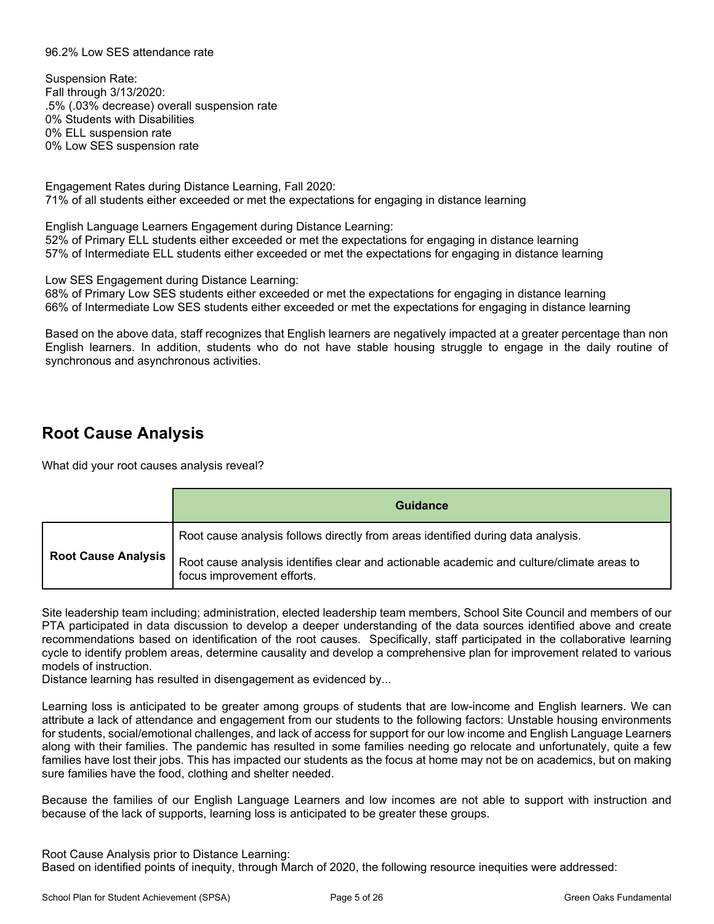#### 96.2% Low SES attendance rate

Suspension Rate: Fall through 3/13/2020: .5% (.03% decrease) overall suspension rate 0% Students with Disabilities 0% ELL suspension rate 0% Low SES suspension rate

Engagement Rates during Distance Learning, Fall 2020: 71% of all students either exceeded or met the expectations for engaging in distance learning

English Language Learners Engagement during Distance Learning: 52% of Primary ELL students either exceeded or met the expectations for engaging in distance learning 57% of Intermediate ELL students either exceeded or met the expectations for engaging in distance learning

Low SES Engagement during Distance Learning: 68% of Primary Low SES students either exceeded or met the expectations for engaging in distance learning

66% of Intermediate Low SES students either exceeded or met the expectations for engaging in distance learning

Based on the above data, staff recognizes that English learners are negatively impacted at a greater percentage than non English learners. In addition, students who do not have stable housing struggle to engage in the daily routine of synchronous and asynchronous activities.

#### **Root Cause Analysis**

What did your root causes analysis reveal?

|                            | Guidance                                                                                                                |
|----------------------------|-------------------------------------------------------------------------------------------------------------------------|
|                            | Root cause analysis follows directly from areas identified during data analysis.                                        |
| <b>Root Cause Analysis</b> | Root cause analysis identifies clear and actionable academic and culture/climate areas to<br>focus improvement efforts. |

Site leadership team including; administration, elected leadership team members, School Site Council and members of our PTA participated in data discussion to develop a deeper understanding of the data sources identified above and create recommendations based on identification of the root causes. Specifically, staff participated in the collaborative learning cycle to identify problem areas, determine causality and develop a comprehensive plan for improvement related to various models of instruction.

Distance learning has resulted in disengagement as evidenced by...

Learning loss is anticipated to be greater among groups of students that are low-income and English learners. We can attribute a lack of attendance and engagement from our students to the following factors: Unstable housing environments for students, social/emotional challenges, and lack of access for support for our low income and English Language Learners along with their families. The pandemic has resulted in some families needing go relocate and unfortunately, quite a few families have lost their jobs. This has impacted our students as the focus at home may not be on academics, but on making sure families have the food, clothing and shelter needed.

Because the families of our English Language Learners and low incomes are not able to support with instruction and because of the lack of supports, learning loss is anticipated to be greater these groups.

Root Cause Analysis prior to Distance Learning: Based on identified points of inequity, through March of 2020, the following resource inequities were addressed: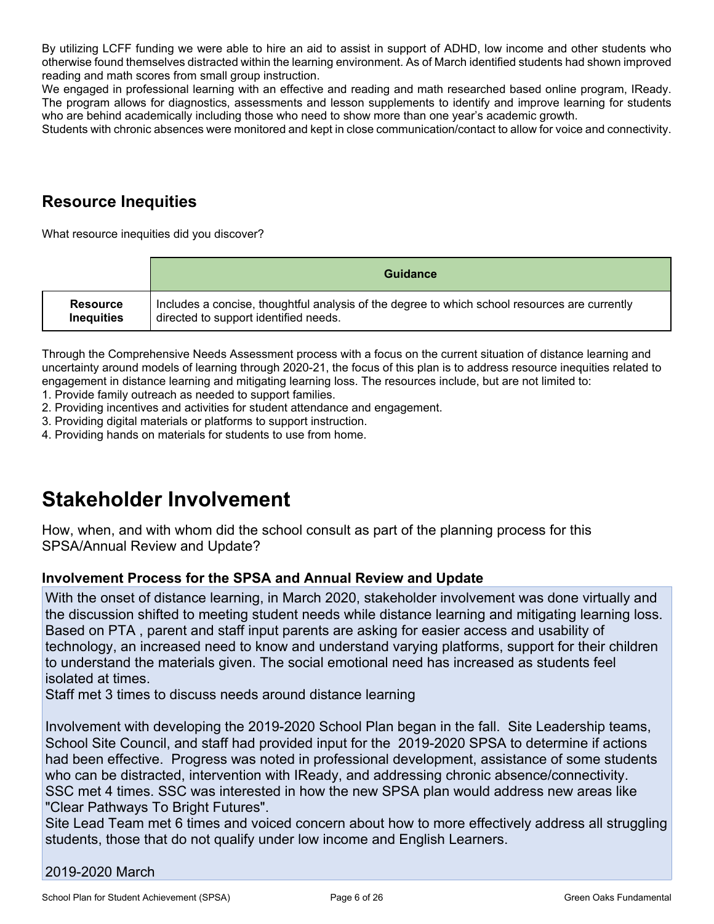By utilizing LCFF funding we were able to hire an aid to assist in support of ADHD, low income and other students who otherwise found themselves distracted within the learning environment. As of March identified students had shown improved reading and math scores from small group instruction.

We engaged in professional learning with an effective and reading and math researched based online program, IReady. The program allows for diagnostics, assessments and lesson supplements to identify and improve learning for students who are behind academically including those who need to show more than one year's academic growth.

Students with chronic absences were monitored and kept in close communication/contact to allow for voice and connectivity.

### **Resource Inequities**

What resource inequities did you discover?

|                   | Guidance                                                                                      |
|-------------------|-----------------------------------------------------------------------------------------------|
| <b>Resource</b>   | Includes a concise, thoughtful analysis of the degree to which school resources are currently |
| <b>Inequities</b> | directed to support identified needs.                                                         |

Through the Comprehensive Needs Assessment process with a focus on the current situation of distance learning and uncertainty around models of learning through 2020-21, the focus of this plan is to address resource inequities related to engagement in distance learning and mitigating learning loss. The resources include, but are not limited to:

1. Provide family outreach as needed to support families.

2. Providing incentives and activities for student attendance and engagement.

3. Providing digital materials or platforms to support instruction.

4. Providing hands on materials for students to use from home.

### **Stakeholder Involvement**

How, when, and with whom did the school consult as part of the planning process for this SPSA/Annual Review and Update?

#### **Involvement Process for the SPSA and Annual Review and Update**

With the onset of distance learning, in March 2020, stakeholder involvement was done virtually and the discussion shifted to meeting student needs while distance learning and mitigating learning loss. Based on PTA , parent and staff input parents are asking for easier access and usability of technology, an increased need to know and understand varying platforms, support for their children to understand the materials given. The social emotional need has increased as students feel isolated at times.

Staff met 3 times to discuss needs around distance learning

Involvement with developing the 2019-2020 School Plan began in the fall. Site Leadership teams, School Site Council, and staff had provided input for the 2019-2020 SPSA to determine if actions had been effective. Progress was noted in professional development, assistance of some students who can be distracted, intervention with IReady, and addressing chronic absence/connectivity. SSC met 4 times. SSC was interested in how the new SPSA plan would address new areas like "Clear Pathways To Bright Futures".

Site Lead Team met 6 times and voiced concern about how to more effectively address all struggling students, those that do not qualify under low income and English Learners.

#### 2019-2020 March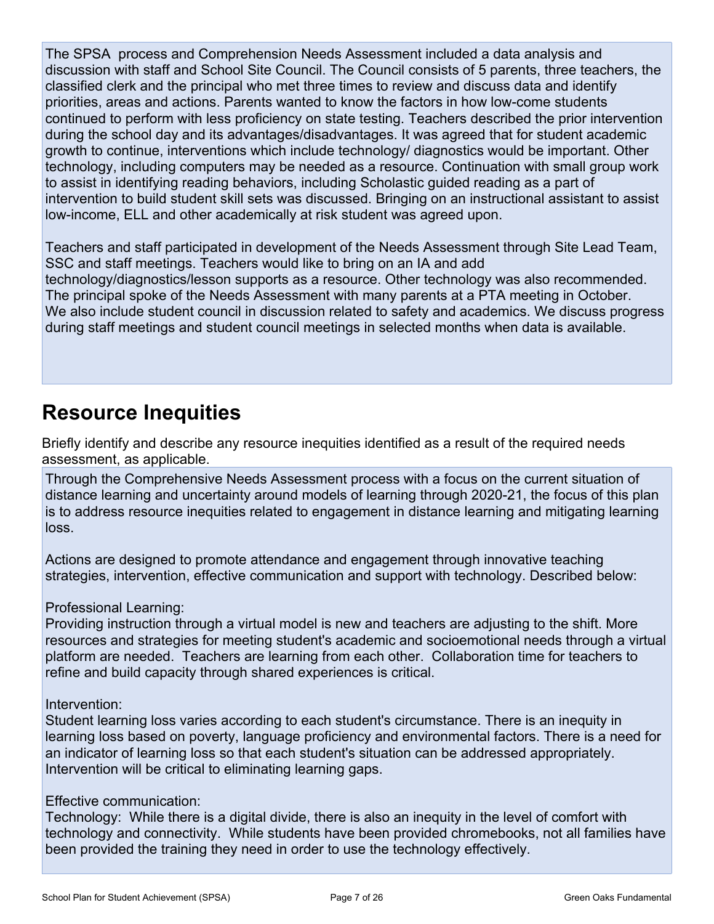The SPSA process and Comprehension Needs Assessment included a data analysis and discussion with staff and School Site Council. The Council consists of 5 parents, three teachers, the classified clerk and the principal who met three times to review and discuss data and identify priorities, areas and actions. Parents wanted to know the factors in how low-come students continued to perform with less proficiency on state testing. Teachers described the prior intervention during the school day and its advantages/disadvantages. It was agreed that for student academic growth to continue, interventions which include technology/ diagnostics would be important. Other technology, including computers may be needed as a resource. Continuation with small group work to assist in identifying reading behaviors, including Scholastic guided reading as a part of intervention to build student skill sets was discussed. Bringing on an instructional assistant to assist low-income, ELL and other academically at risk student was agreed upon.

Teachers and staff participated in development of the Needs Assessment through Site Lead Team, SSC and staff meetings. Teachers would like to bring on an IA and add technology/diagnostics/lesson supports as a resource. Other technology was also recommended. The principal spoke of the Needs Assessment with many parents at a PTA meeting in October. We also include student council in discussion related to safety and academics. We discuss progress during staff meetings and student council meetings in selected months when data is available.

### **Resource Inequities**

Briefly identify and describe any resource inequities identified as a result of the required needs assessment, as applicable.

Through the Comprehensive Needs Assessment process with a focus on the current situation of distance learning and uncertainty around models of learning through 2020-21, the focus of this plan is to address resource inequities related to engagement in distance learning and mitigating learning loss.

Actions are designed to promote attendance and engagement through innovative teaching strategies, intervention, effective communication and support with technology. Described below:

Professional Learning:

Providing instruction through a virtual model is new and teachers are adjusting to the shift. More resources and strategies for meeting student's academic and socioemotional needs through a virtual platform are needed. Teachers are learning from each other. Collaboration time for teachers to refine and build capacity through shared experiences is critical.

Intervention:

Student learning loss varies according to each student's circumstance. There is an inequity in learning loss based on poverty, language proficiency and environmental factors. There is a need for an indicator of learning loss so that each student's situation can be addressed appropriately. Intervention will be critical to eliminating learning gaps.

#### Effective communication:

Technology: While there is a digital divide, there is also an inequity in the level of comfort with technology and connectivity. While students have been provided chromebooks, not all families have been provided the training they need in order to use the technology effectively.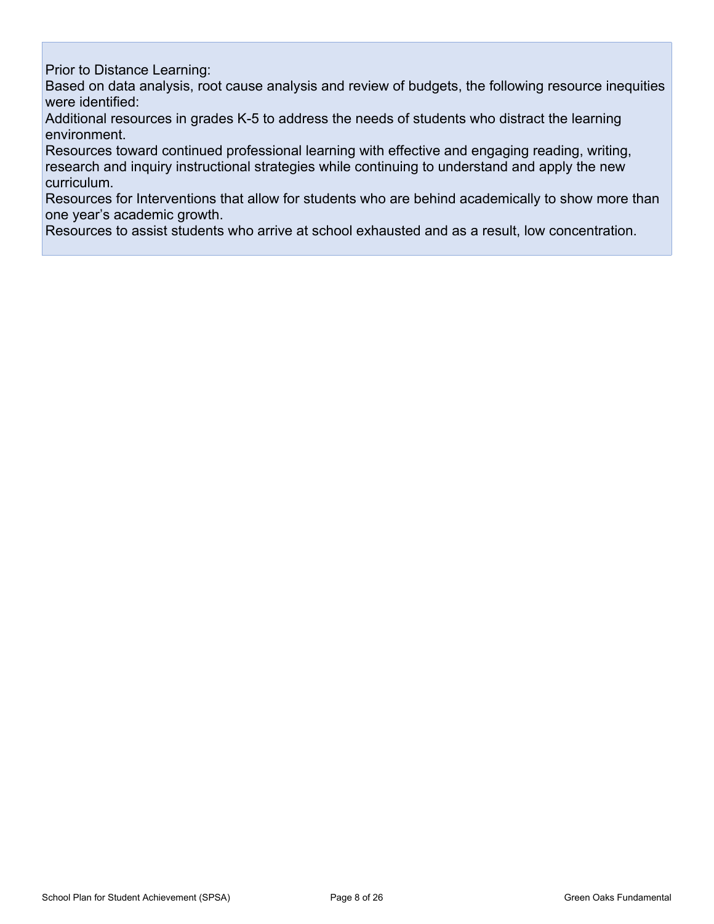Prior to Distance Learning:

Based on data analysis, root cause analysis and review of budgets, the following resource inequities were identified:

Additional resources in grades K-5 to address the needs of students who distract the learning environment.

Resources toward continued professional learning with effective and engaging reading, writing, research and inquiry instructional strategies while continuing to understand and apply the new curriculum.

Resources for Interventions that allow for students who are behind academically to show more than one year's academic growth.

Resources to assist students who arrive at school exhausted and as a result, low concentration.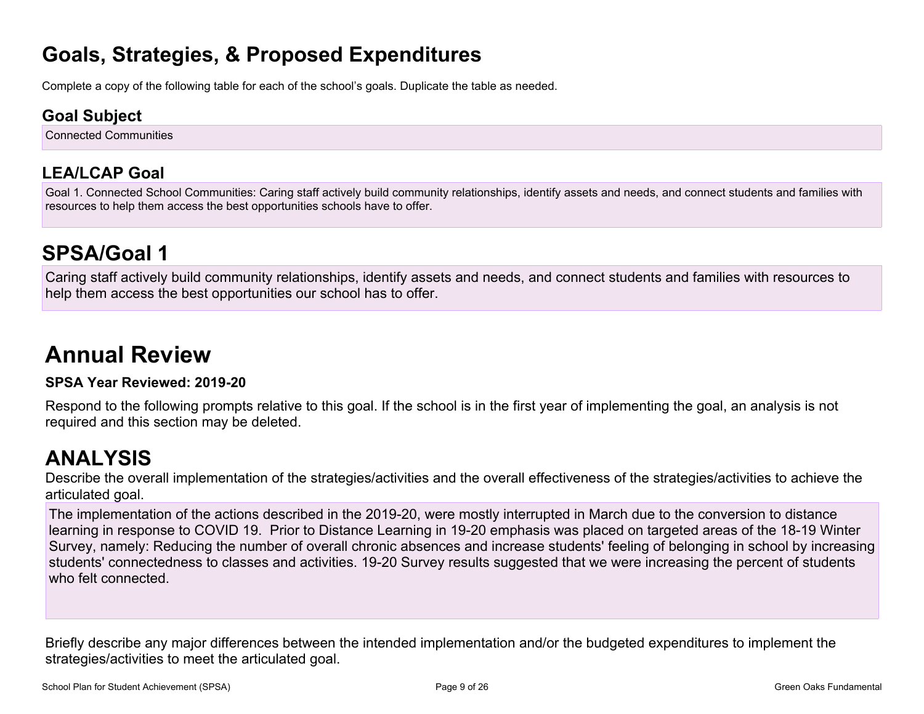### **Goals, Strategies, & Proposed Expenditures**

Complete a copy of the following table for each of the school's goals. Duplicate the table as needed.

### **Goal Subject**

Connected Communities

### **LEA/LCAP Goal**

Goal 1. Connected School Communities: Caring staff actively build community relationships, identify assets and needs, and connect students and families with resources to help them access the best opportunities schools have to offer.

# **SPSA/Goal 1**

Caring staff actively build community relationships, identify assets and needs, and connect students and families with resources to help them access the best opportunities our school has to offer.

# **Annual Review**

#### **SPSA Year Reviewed: 2019-20**

Respond to the following prompts relative to this goal. If the school is in the first year of implementing the goal, an analysis is not required and this section may be deleted.

### **ANALYSIS**

Describe the overall implementation of the strategies/activities and the overall effectiveness of the strategies/activities to achieve the articulated goal.

The implementation of the actions described in the 2019-20, were mostly interrupted in March due to the conversion to distance learning in response to COVID 19. Prior to Distance Learning in 19-20 emphasis was placed on targeted areas of the 18-19 Winter Survey, namely: Reducing the number of overall chronic absences and increase students' feeling of belonging in school by increasing students' connectedness to classes and activities. 19-20 Survey results suggested that we were increasing the percent of students who felt connected.

Briefly describe any major differences between the intended implementation and/or the budgeted expenditures to implement the strategies/activities to meet the articulated goal.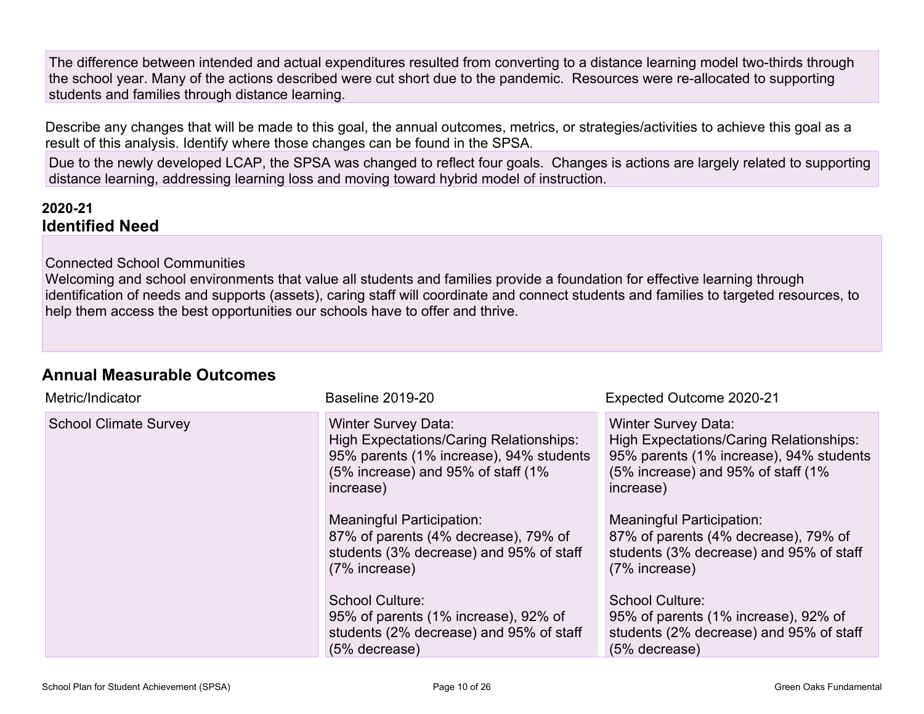The difference between intended and actual expenditures resulted from converting to a distance learning model two-thirds through the school year. Many of the actions described were cut short due to the pandemic. Resources were re-allocated to supporting students and families through distance learning.

Describe any changes that will be made to this goal, the annual outcomes, metrics, or strategies/activities to achieve this goal as a result of this analysis. Identify where those changes can be found in the SPSA.

Due to the newly developed LCAP, the SPSA was changed to reflect four goals. Changes is actions are largely related to supporting distance learning, addressing learning loss and moving toward hybrid model of instruction.

#### **2020-21 Identified Need**

#### Connected School Communities

Welcoming and school environments that value all students and families provide a foundation for effective learning through identification of needs and supports (assets), caring staff will coordinate and connect students and families to targeted resources, to help them access the best opportunities our schools have to offer and thrive.

#### **Annual Measurable Outcomes**

| Metric/Indicator             | Baseline 2019-20                                                                                                                                                           | Expected Outcome 2020-21                                                                                                                                                    |
|------------------------------|----------------------------------------------------------------------------------------------------------------------------------------------------------------------------|-----------------------------------------------------------------------------------------------------------------------------------------------------------------------------|
| <b>School Climate Survey</b> | <b>Winter Survey Data:</b><br><b>High Expectations/Caring Relationships:</b><br>95% parents (1% increase), 94% students<br>(5% increase) and 95% of staff (1%<br>increase) | <b>Winter Survey Data:</b><br><b>High Expectations/Caring Relationships:</b><br>95% parents (1% increase), 94% students<br>(5% increase) and 95% of staff (1%)<br>increase) |
|                              | <b>Meaningful Participation:</b><br>87% of parents (4% decrease), 79% of<br>students (3% decrease) and 95% of staff<br>(7% increase)                                       | <b>Meaningful Participation:</b><br>87% of parents (4% decrease), 79% of<br>students (3% decrease) and 95% of staff<br>(7% increase)                                        |
|                              | <b>School Culture:</b><br>95% of parents (1% increase), 92% of<br>students (2% decrease) and 95% of staff<br>(5% decrease)                                                 | School Culture:<br>95% of parents (1% increase), 92% of<br>students (2% decrease) and 95% of staff<br>(5% decrease)                                                         |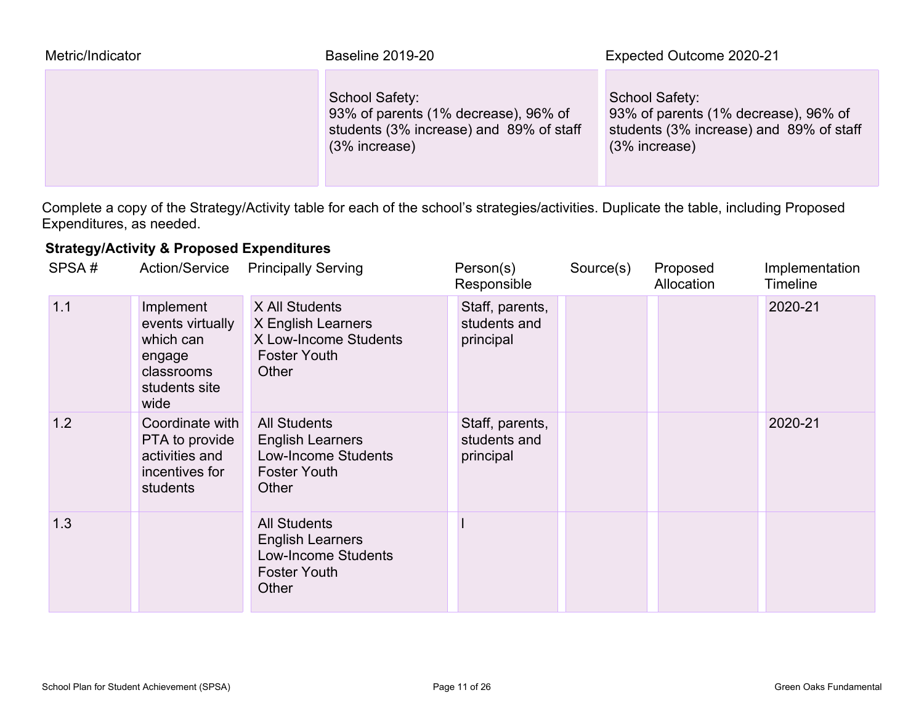| Metric/Indicator | <b>Baseline 2019-20</b>                                                                                            | Expected Outcome 2020-21                                                                                             |
|------------------|--------------------------------------------------------------------------------------------------------------------|----------------------------------------------------------------------------------------------------------------------|
|                  | School Safety:<br>93% of parents (1% decrease), 96% of<br>students (3% increase) and 89% of staff<br>(3% increase) | School Safety:<br>93% of parents (1% decrease), 96% of<br>students (3% increase) and 89% of staff<br>$(3%$ increase) |

Complete a copy of the Strategy/Activity table for each of the school's strategies/activities. Duplicate the table, including Proposed Expenditures, as needed.

#### **Strategy/Activity & Proposed Expenditures**

| SPSA# | <b>Action/Service</b>                                                                       | <b>Principally Serving</b>                                                                                   | Person(s)<br>Responsible                     | Source(s) | Proposed<br>Allocation | Implementation<br><b>Timeline</b> |
|-------|---------------------------------------------------------------------------------------------|--------------------------------------------------------------------------------------------------------------|----------------------------------------------|-----------|------------------------|-----------------------------------|
| 1.1   | Implement<br>events virtually<br>which can<br>engage<br>classrooms<br>students site<br>wide | X All Students<br>X English Learners<br>X Low-Income Students<br><b>Foster Youth</b><br>Other                | Staff, parents,<br>students and<br>principal |           |                        | 2020-21                           |
| 1.2   | Coordinate with<br>PTA to provide<br>activities and<br>incentives for<br>students           | <b>All Students</b><br><b>English Learners</b><br><b>Low-Income Students</b><br><b>Foster Youth</b><br>Other | Staff, parents,<br>students and<br>principal |           |                        | 2020-21                           |
| 1.3   |                                                                                             | <b>All Students</b><br><b>English Learners</b><br><b>Low-Income Students</b><br><b>Foster Youth</b><br>Other |                                              |           |                        |                                   |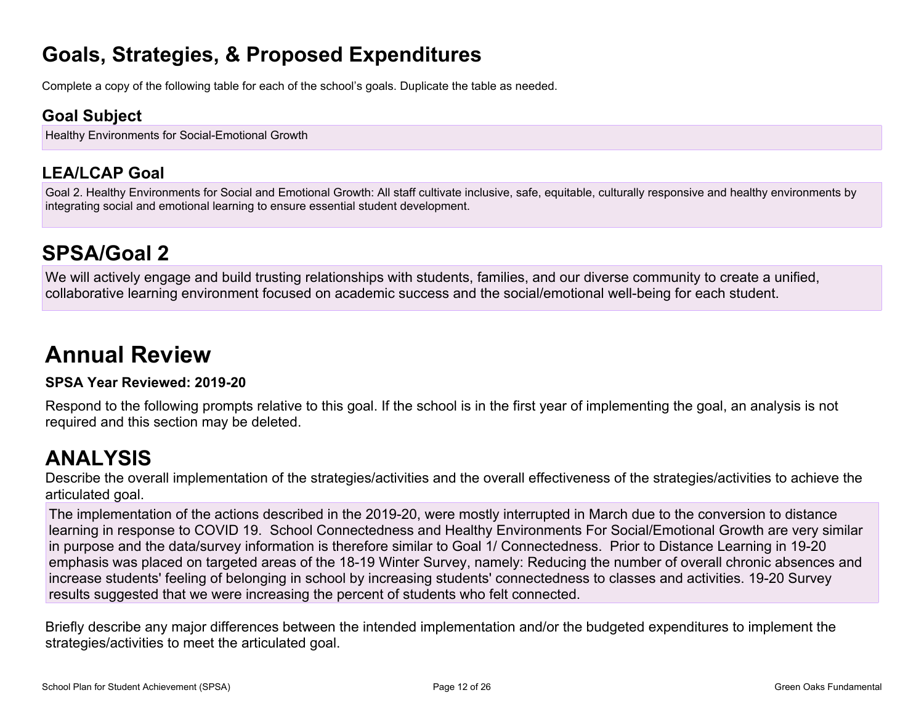### **Goals, Strategies, & Proposed Expenditures**

Complete a copy of the following table for each of the school's goals. Duplicate the table as needed.

### **Goal Subject**

Healthy Environments for Social-Emotional Growth

### **LEA/LCAP Goal**

Goal 2. Healthy Environments for Social and Emotional Growth: All staff cultivate inclusive, safe, equitable, culturally responsive and healthy environments by integrating social and emotional learning to ensure essential student development.

# **SPSA/Goal 2**

We will actively engage and build trusting relationships with students, families, and our diverse community to create a unified, collaborative learning environment focused on academic success and the social/emotional well-being for each student.

# **Annual Review**

#### **SPSA Year Reviewed: 2019-20**

Respond to the following prompts relative to this goal. If the school is in the first year of implementing the goal, an analysis is not required and this section may be deleted.

### **ANALYSIS**

Describe the overall implementation of the strategies/activities and the overall effectiveness of the strategies/activities to achieve the articulated goal.

The implementation of the actions described in the 2019-20, were mostly interrupted in March due to the conversion to distance learning in response to COVID 19. School Connectedness and Healthy Environments For Social/Emotional Growth are very similar in purpose and the data/survey information is therefore similar to Goal 1/ Connectedness. Prior to Distance Learning in 19-20 emphasis was placed on targeted areas of the 18-19 Winter Survey, namely: Reducing the number of overall chronic absences and increase students' feeling of belonging in school by increasing students' connectedness to classes and activities. 19-20 Survey results suggested that we were increasing the percent of students who felt connected.

Briefly describe any major differences between the intended implementation and/or the budgeted expenditures to implement the strategies/activities to meet the articulated goal.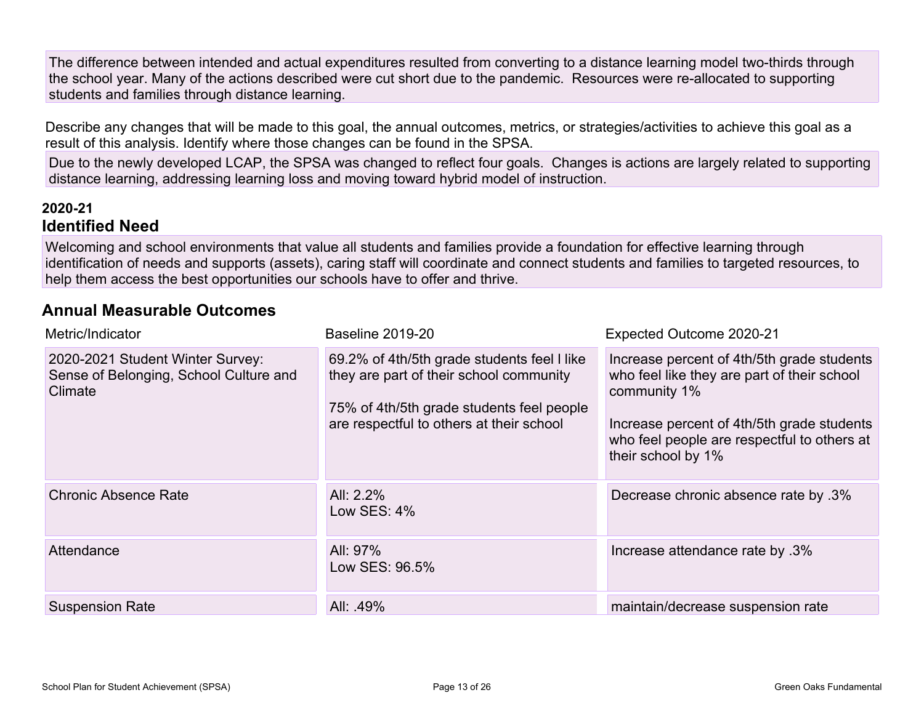The difference between intended and actual expenditures resulted from converting to a distance learning model two-thirds through the school year. Many of the actions described were cut short due to the pandemic. Resources were re-allocated to supporting students and families through distance learning.

Describe any changes that will be made to this goal, the annual outcomes, metrics, or strategies/activities to achieve this goal as a result of this analysis. Identify where those changes can be found in the SPSA.

Due to the newly developed LCAP, the SPSA was changed to reflect four goals. Changes is actions are largely related to supporting distance learning, addressing learning loss and moving toward hybrid model of instruction.

#### **2020-21 Identified Need**

Welcoming and school environments that value all students and families provide a foundation for effective learning through identification of needs and supports (assets), caring staff will coordinate and connect students and families to targeted resources, to help them access the best opportunities our schools have to offer and thrive.

#### **Annual Measurable Outcomes**

| Metric/Indicator                                                                      | <b>Baseline 2019-20</b>                                                                                                                                                         | Expected Outcome 2020-21                                                                                                                                                                                                     |
|---------------------------------------------------------------------------------------|---------------------------------------------------------------------------------------------------------------------------------------------------------------------------------|------------------------------------------------------------------------------------------------------------------------------------------------------------------------------------------------------------------------------|
| 2020-2021 Student Winter Survey:<br>Sense of Belonging, School Culture and<br>Climate | 69.2% of 4th/5th grade students feel I like<br>they are part of their school community<br>75% of 4th/5th grade students feel people<br>are respectful to others at their school | Increase percent of 4th/5th grade students<br>who feel like they are part of their school<br>community 1%<br>Increase percent of 4th/5th grade students<br>who feel people are respectful to others at<br>their school by 1% |
| <b>Chronic Absence Rate</b>                                                           | All: 2.2%<br>Low SES: $4\%$                                                                                                                                                     | Decrease chronic absence rate by .3%                                                                                                                                                                                         |
| Attendance                                                                            | All: 97%<br>Low SES: 96.5%                                                                                                                                                      | lncrease attendance rate by .3%                                                                                                                                                                                              |
| <b>Suspension Rate</b>                                                                | All: 49%                                                                                                                                                                        | maintain/decrease suspension rate                                                                                                                                                                                            |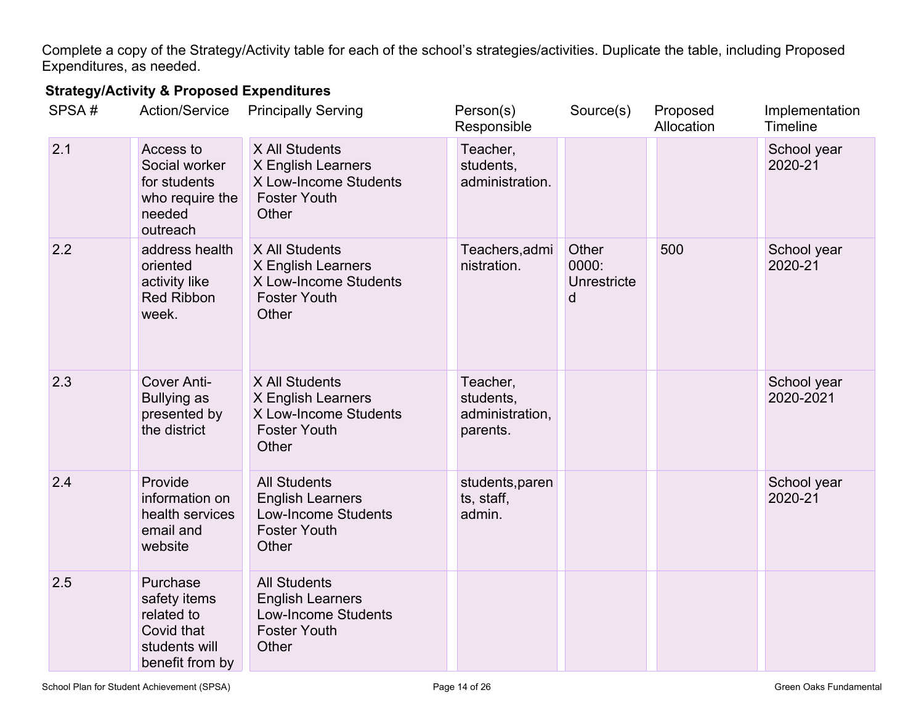Complete a copy of the Strategy/Activity table for each of the school's strategies/activities. Duplicate the table, including Proposed Expenditures, as needed.

### **Strategy/Activity & Proposed Expenditures**

| SPSA# | <b>Action/Service</b>                                                                    | <b>Principally Serving</b>                                                                                   | Person(s)<br>Responsible                             | Source(s)                          | Proposed<br>Allocation | Implementation<br>Timeline |
|-------|------------------------------------------------------------------------------------------|--------------------------------------------------------------------------------------------------------------|------------------------------------------------------|------------------------------------|------------------------|----------------------------|
| 2.1   | Access to<br>Social worker<br>for students<br>who require the<br>needed<br>outreach      | X All Students<br>X English Learners<br>X Low-Income Students<br><b>Foster Youth</b><br>Other                | Teacher,<br>students,<br>administration.             |                                    |                        | School year<br>2020-21     |
| 2.2   | address health<br>oriented<br>activity like<br><b>Red Ribbon</b><br>week.                | X All Students<br>X English Learners<br>X Low-Income Students<br><b>Foster Youth</b><br>Other                | Teachers, admi<br>nistration.                        | Other<br>0000:<br>Unrestricte<br>d | 500                    | School year<br>2020-21     |
| 2.3   | Cover Anti-<br><b>Bullying as</b><br>presented by<br>the district                        | X All Students<br>X English Learners<br>X Low-Income Students<br><b>Foster Youth</b><br>Other                | Teacher,<br>students,<br>administration,<br>parents. |                                    |                        | School year<br>2020-2021   |
| 2.4   | Provide<br>information on<br>health services<br>email and<br>website                     | <b>All Students</b><br><b>English Learners</b><br><b>Low-Income Students</b><br><b>Foster Youth</b><br>Other | students, paren<br>ts, staff,<br>admin.              |                                    |                        | School year<br>2020-21     |
| 2.5   | Purchase<br>safety items<br>related to<br>Covid that<br>students will<br>benefit from by | <b>All Students</b><br><b>English Learners</b><br><b>Low-Income Students</b><br><b>Foster Youth</b><br>Other |                                                      |                                    |                        |                            |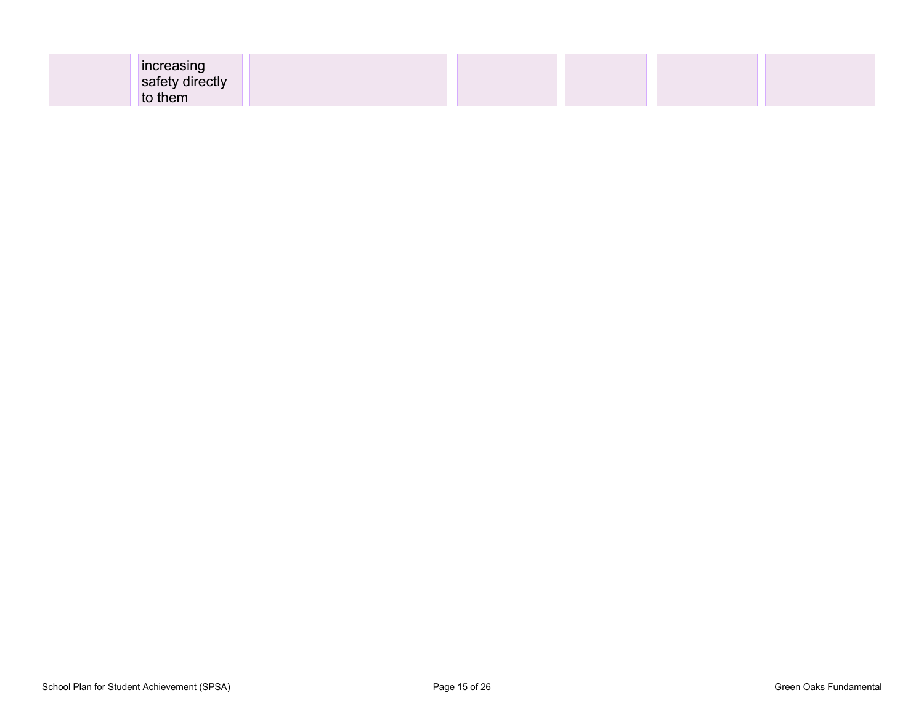| increasing      |  |  |
|-----------------|--|--|
| safety directly |  |  |
| to them         |  |  |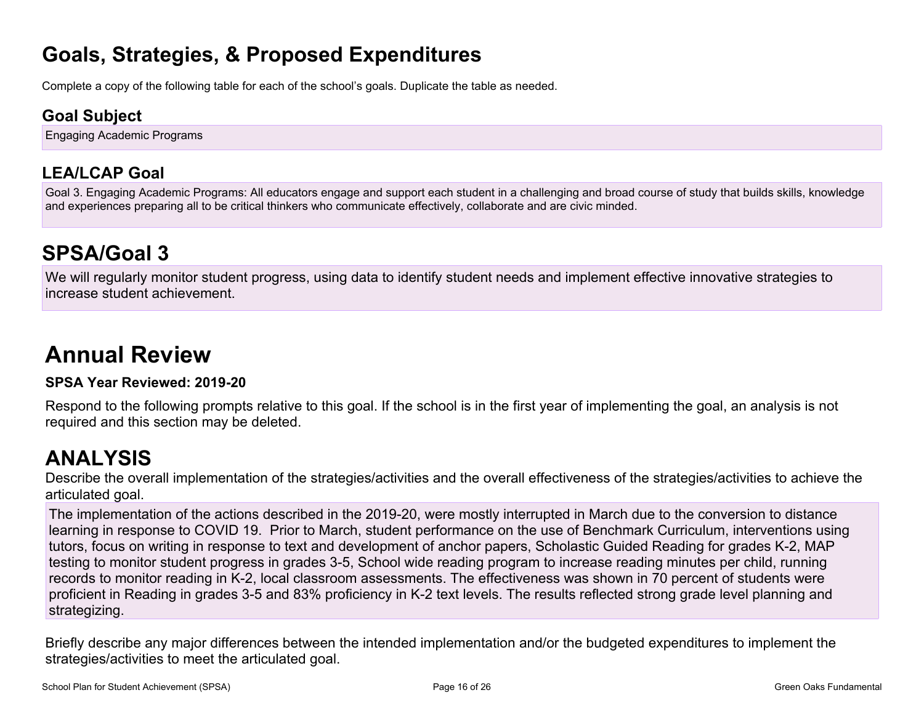### **Goals, Strategies, & Proposed Expenditures**

Complete a copy of the following table for each of the school's goals. Duplicate the table as needed.

### **Goal Subject**

Engaging Academic Programs

### **LEA/LCAP Goal**

Goal 3. Engaging Academic Programs: All educators engage and support each student in a challenging and broad course of study that builds skills, knowledge and experiences preparing all to be critical thinkers who communicate effectively, collaborate and are civic minded.

# **SPSA/Goal 3**

We will regularly monitor student progress, using data to identify student needs and implement effective innovative strategies to increase student achievement.

# **Annual Review**

#### **SPSA Year Reviewed: 2019-20**

Respond to the following prompts relative to this goal. If the school is in the first year of implementing the goal, an analysis is not required and this section may be deleted.

### **ANALYSIS**

Describe the overall implementation of the strategies/activities and the overall effectiveness of the strategies/activities to achieve the articulated goal.

The implementation of the actions described in the 2019-20, were mostly interrupted in March due to the conversion to distance learning in response to COVID 19. Prior to March, student performance on the use of Benchmark Curriculum, interventions using tutors, focus on writing in response to text and development of anchor papers, Scholastic Guided Reading for grades K-2, MAP testing to monitor student progress in grades 3-5, School wide reading program to increase reading minutes per child, running records to monitor reading in K-2, local classroom assessments. The effectiveness was shown in 70 percent of students were proficient in Reading in grades 3-5 and 83% proficiency in K-2 text levels. The results reflected strong grade level planning and strategizing.

Briefly describe any major differences between the intended implementation and/or the budgeted expenditures to implement the strategies/activities to meet the articulated goal.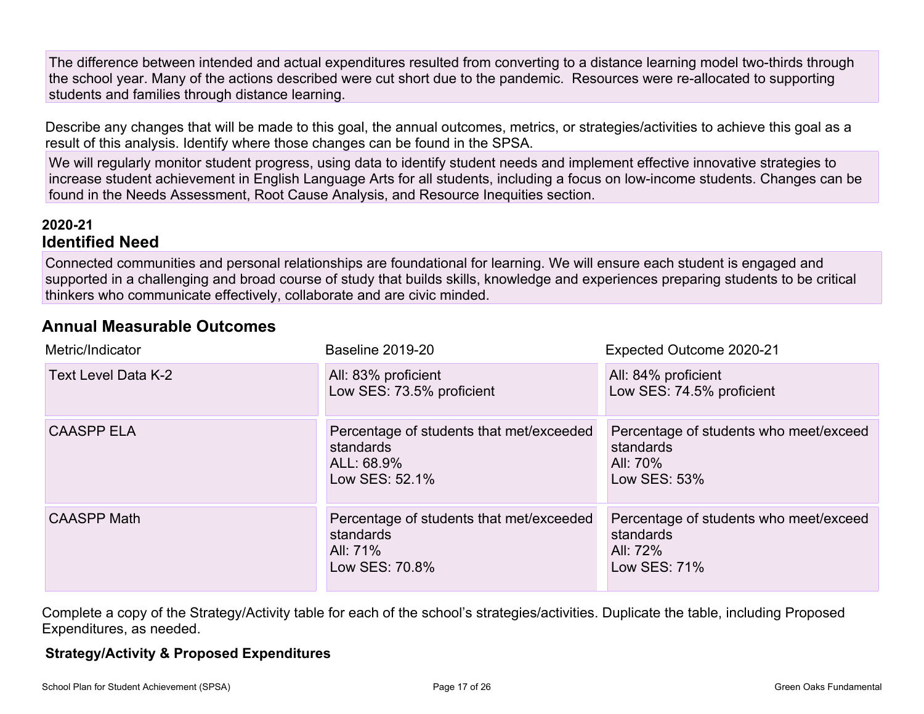The difference between intended and actual expenditures resulted from converting to a distance learning model two-thirds through the school year. Many of the actions described were cut short due to the pandemic. Resources were re-allocated to supporting students and families through distance learning.

Describe any changes that will be made to this goal, the annual outcomes, metrics, or strategies/activities to achieve this goal as a result of this analysis. Identify where those changes can be found in the SPSA.

We will regularly monitor student progress, using data to identify student needs and implement effective innovative strategies to increase student achievement in English Language Arts for all students, including a focus on low-income students. Changes can be found in the Needs Assessment, Root Cause Analysis, and Resource Inequities section.

#### **2020-21 Identified Need**

Connected communities and personal relationships are foundational for learning. We will ensure each student is engaged and supported in a challenging and broad course of study that builds skills, knowledge and experiences preparing students to be critical thinkers who communicate effectively, collaborate and are civic minded.

#### **Annual Measurable Outcomes**

| Metric/Indicator    | <b>Baseline 2019-20</b>                                                               | Expected Outcome 2020-21                                                        |
|---------------------|---------------------------------------------------------------------------------------|---------------------------------------------------------------------------------|
| Text Level Data K-2 | All: 83% proficient<br>Low SES: 73.5% proficient                                      | All: 84% proficient<br>Low SES: 74.5% proficient                                |
| <b>CAASPP ELA</b>   | Percentage of students that met/exceeded<br>standards<br>ALL: 68.9%<br>Low SES: 52.1% | Percentage of students who meet/exceed<br>standards<br>All: 70%<br>Low SES: 53% |
| <b>CAASPP Math</b>  | Percentage of students that met/exceeded<br>standards<br>All: 71%<br>Low SES: 70.8%   | Percentage of students who meet/exceed<br>standards<br>All: 72%<br>Low SES: 71% |

Complete a copy of the Strategy/Activity table for each of the school's strategies/activities. Duplicate the table, including Proposed Expenditures, as needed.

#### **Strategy/Activity & Proposed Expenditures**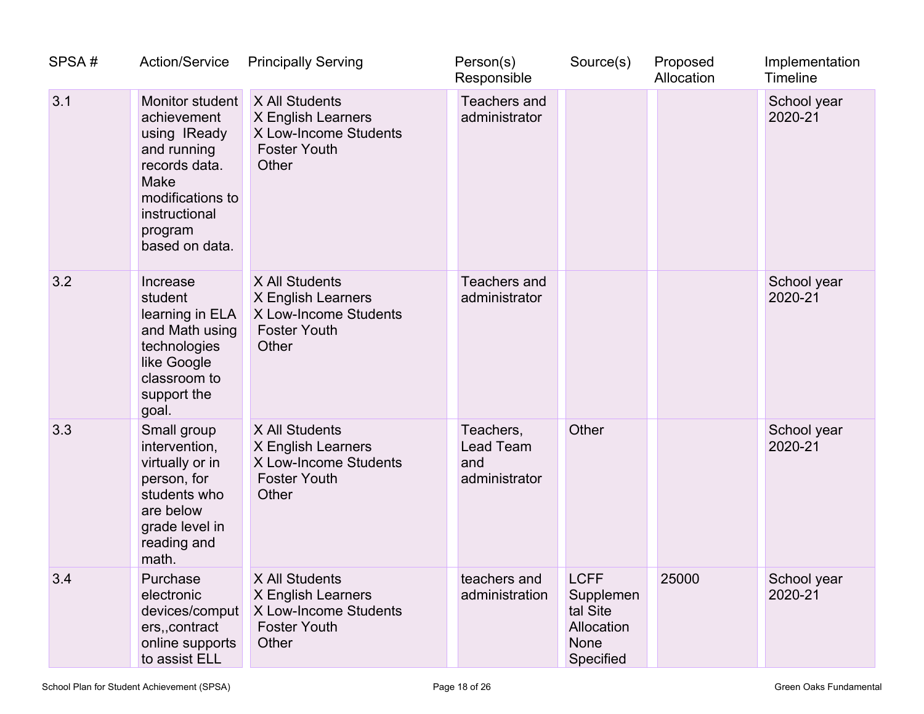| SPSA# | <b>Action/Service</b>                                                                                                                                    | <b>Principally Serving</b>                                                                    | Person(s)<br>Responsible                       | Source(s)                                                               | Proposed<br>Allocation | Implementation<br><b>Timeline</b> |
|-------|----------------------------------------------------------------------------------------------------------------------------------------------------------|-----------------------------------------------------------------------------------------------|------------------------------------------------|-------------------------------------------------------------------------|------------------------|-----------------------------------|
| 3.1   | Monitor student<br>achievement<br>using IReady<br>and running<br>records data.<br>Make<br>modifications to<br>instructional<br>program<br>based on data. | X All Students<br>X English Learners<br>X Low-Income Students<br><b>Foster Youth</b><br>Other | <b>Teachers and</b><br>administrator           |                                                                         |                        | School year<br>2020-21            |
| 3.2   | Increase<br>student<br>learning in ELA<br>and Math using<br>technologies<br>like Google<br>classroom to<br>support the<br>goal.                          | X All Students<br>X English Learners<br>X Low-Income Students<br><b>Foster Youth</b><br>Other | <b>Teachers and</b><br>administrator           |                                                                         |                        | School year<br>2020-21            |
| 3.3   | Small group<br>intervention,<br>virtually or in<br>person, for<br>students who<br>are below<br>grade level in<br>reading and<br>math.                    | X All Students<br>X English Learners<br>X Low-Income Students<br><b>Foster Youth</b><br>Other | Teachers,<br>Lead Team<br>and<br>administrator | Other                                                                   |                        | School year<br>2020-21            |
| 3.4   | Purchase<br>electronic<br>devices/comput<br>ers, contract<br>online supports<br>to assist ELL                                                            | X All Students<br>X English Learners<br>X Low-Income Students<br><b>Foster Youth</b><br>Other | teachers and<br>administration                 | <b>LCFF</b><br>Supplemen<br>tal Site<br>Allocation<br>None<br>Specified | 25000                  | School year<br>2020-21            |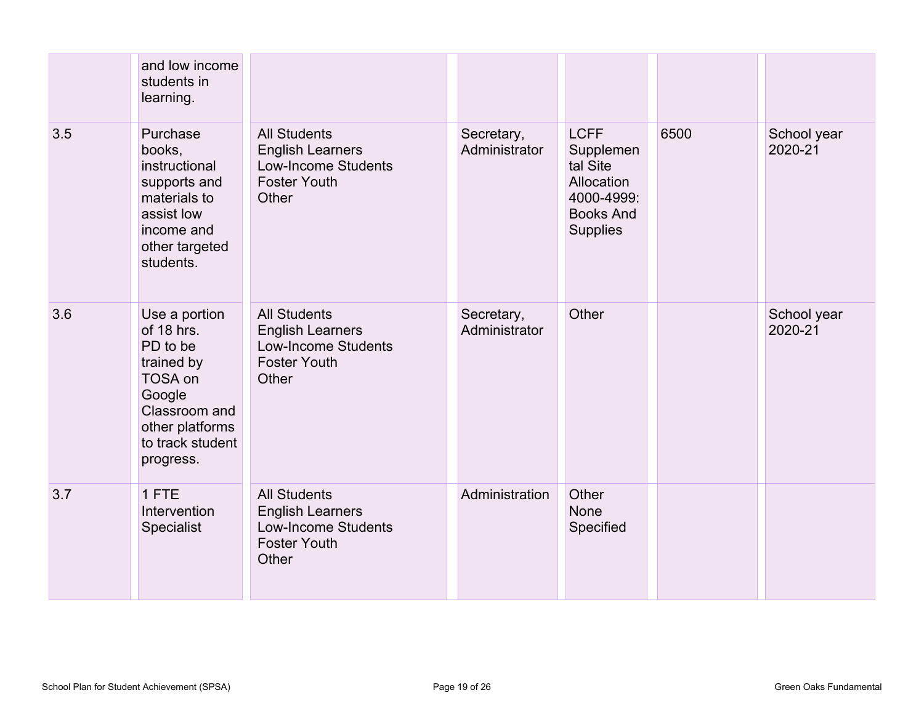|     | and low income<br>students in<br>learning.                                                                                                      |                                                                                                              |                             |                                                                                                         |      |                        |
|-----|-------------------------------------------------------------------------------------------------------------------------------------------------|--------------------------------------------------------------------------------------------------------------|-----------------------------|---------------------------------------------------------------------------------------------------------|------|------------------------|
| 3.5 | Purchase<br>books,<br>instructional<br>supports and<br>materials to<br>assist low<br>income and<br>other targeted<br>students.                  | <b>All Students</b><br><b>English Learners</b><br><b>Low-Income Students</b><br><b>Foster Youth</b><br>Other | Secretary,<br>Administrator | <b>LCFF</b><br>Supplemen<br>tal Site<br>Allocation<br>4000-4999:<br><b>Books And</b><br><b>Supplies</b> | 6500 | School year<br>2020-21 |
| 3.6 | Use a portion<br>of 18 hrs.<br>PD to be<br>trained by<br>TOSA on<br>Google<br>Classroom and<br>other platforms<br>to track student<br>progress. | <b>All Students</b><br><b>English Learners</b><br><b>Low-Income Students</b><br><b>Foster Youth</b><br>Other | Secretary,<br>Administrator | Other                                                                                                   |      | School year<br>2020-21 |
| 3.7 | 1 FTE<br>Intervention<br><b>Specialist</b>                                                                                                      | <b>All Students</b><br><b>English Learners</b><br><b>Low-Income Students</b><br><b>Foster Youth</b><br>Other | Administration              | Other<br><b>None</b><br>Specified                                                                       |      |                        |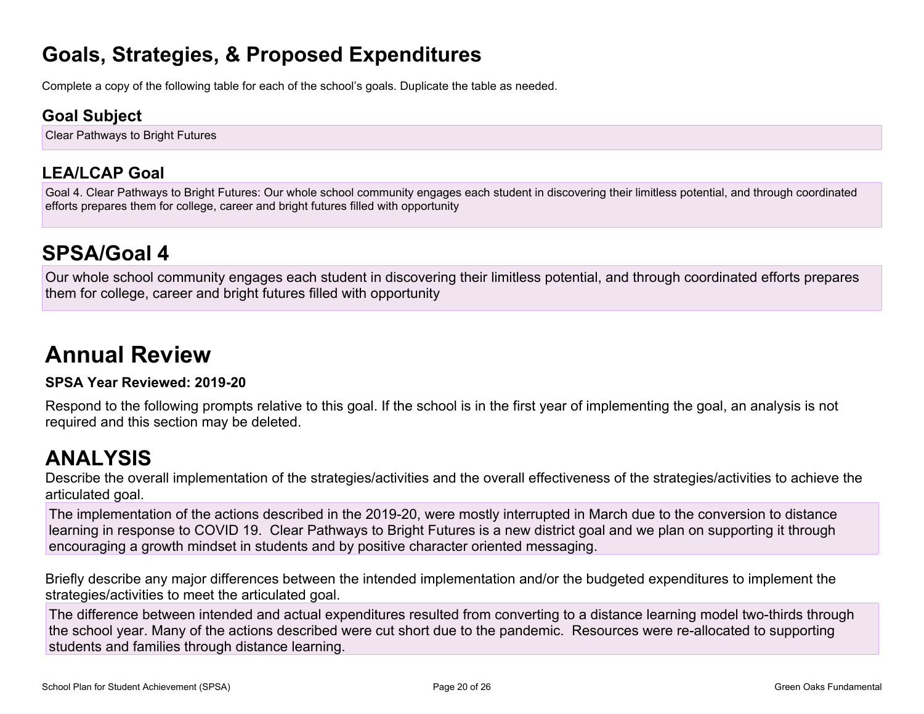### **Goals, Strategies, & Proposed Expenditures**

Complete a copy of the following table for each of the school's goals. Duplicate the table as needed.

### **Goal Subject**

Clear Pathways to Bright Futures

### **LEA/LCAP Goal**

Goal 4. Clear Pathways to Bright Futures: Our whole school community engages each student in discovering their limitless potential, and through coordinated efforts prepares them for college, career and bright futures filled with opportunity

### **SPSA/Goal 4**

Our whole school community engages each student in discovering their limitless potential, and through coordinated efforts prepares them for college, career and bright futures filled with opportunity

# **Annual Review**

#### **SPSA Year Reviewed: 2019-20**

Respond to the following prompts relative to this goal. If the school is in the first year of implementing the goal, an analysis is not required and this section may be deleted.

### **ANALYSIS**

Describe the overall implementation of the strategies/activities and the overall effectiveness of the strategies/activities to achieve the articulated goal.

The implementation of the actions described in the 2019-20, were mostly interrupted in March due to the conversion to distance learning in response to COVID 19. Clear Pathways to Bright Futures is a new district goal and we plan on supporting it through encouraging a growth mindset in students and by positive character oriented messaging.

Briefly describe any major differences between the intended implementation and/or the budgeted expenditures to implement the strategies/activities to meet the articulated goal.

The difference between intended and actual expenditures resulted from converting to a distance learning model two-thirds through the school year. Many of the actions described were cut short due to the pandemic. Resources were re-allocated to supporting students and families through distance learning.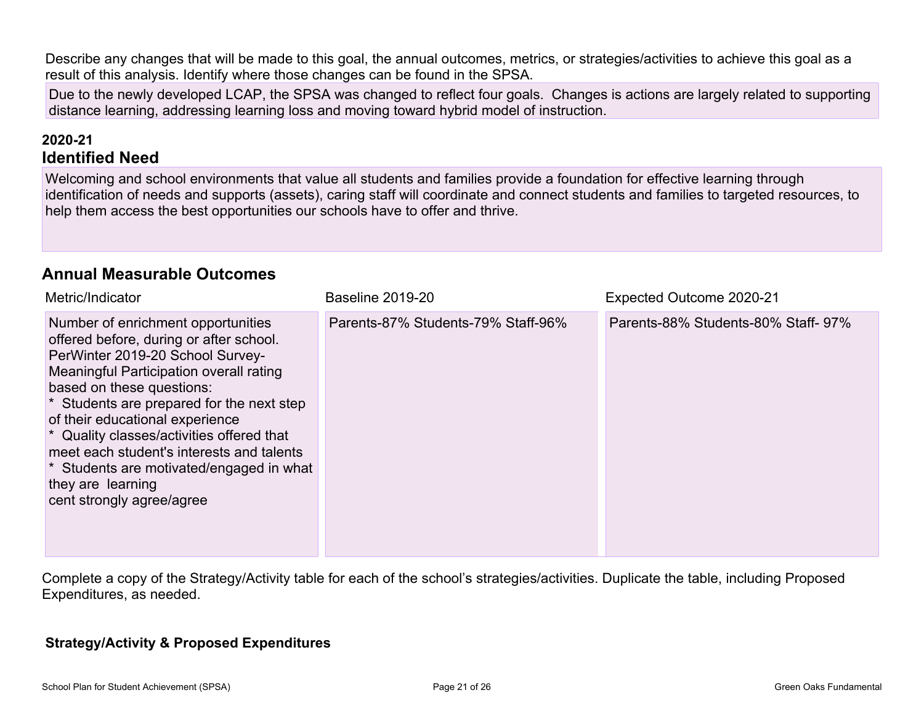Describe any changes that will be made to this goal, the annual outcomes, metrics, or strategies/activities to achieve this goal as a result of this analysis. Identify where those changes can be found in the SPSA.

Due to the newly developed LCAP, the SPSA was changed to reflect four goals. Changes is actions are largely related to supporting distance learning, addressing learning loss and moving toward hybrid model of instruction.

#### **2020-21 Identified Need**

Welcoming and school environments that value all students and families provide a foundation for effective learning through identification of needs and supports (assets), caring staff will coordinate and connect students and families to targeted resources, to help them access the best opportunities our schools have to offer and thrive.

#### **Annual Measurable Outcomes**

| Metric/Indicator                                                                                                                                                                                                                                                                                                                                                                                                                                                  | <b>Baseline 2019-20</b>            | Expected Outcome 2020-21           |
|-------------------------------------------------------------------------------------------------------------------------------------------------------------------------------------------------------------------------------------------------------------------------------------------------------------------------------------------------------------------------------------------------------------------------------------------------------------------|------------------------------------|------------------------------------|
| Number of enrichment opportunities<br>offered before, during or after school.<br>PerWinter 2019-20 School Survey-<br>Meaningful Participation overall rating<br>based on these questions:<br>* Students are prepared for the next step<br>of their educational experience<br>* Quality classes/activities offered that<br>meet each student's interests and talents<br>* Students are motivated/engaged in what<br>they are learning<br>cent strongly agree/agree | Parents-87% Students-79% Staff-96% | Parents-88% Students-80% Staff-97% |

Complete a copy of the Strategy/Activity table for each of the school's strategies/activities. Duplicate the table, including Proposed Expenditures, as needed.

#### **Strategy/Activity & Proposed Expenditures**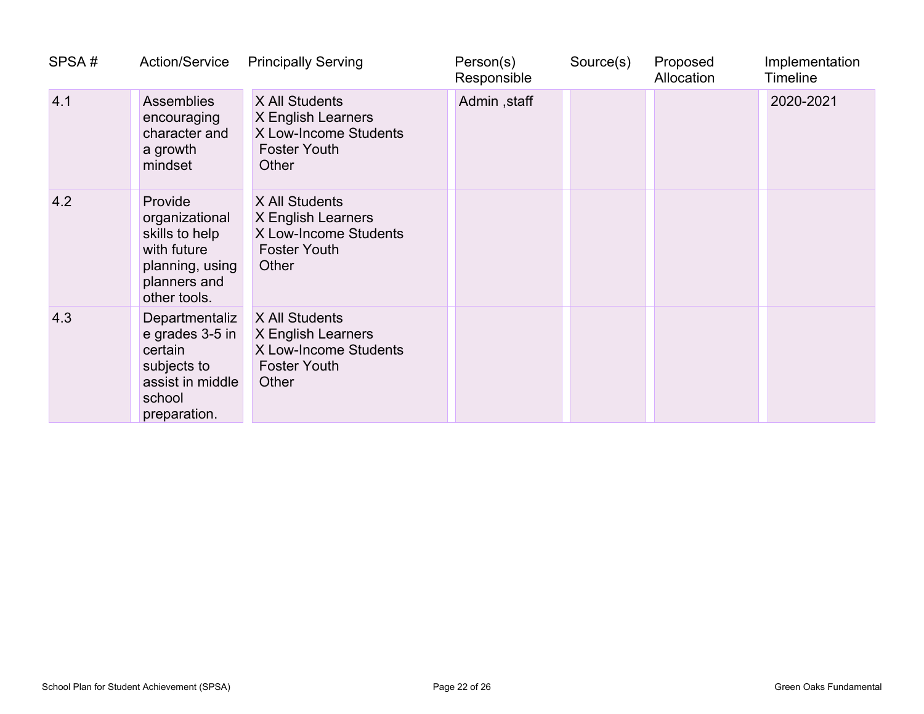| SPSA# | <b>Action/Service</b>                                                                                         | <b>Principally Serving</b>                                                                    | Person(s)<br>Responsible | Source(s) | Proposed<br>Allocation | Implementation<br><b>Timeline</b> |
|-------|---------------------------------------------------------------------------------------------------------------|-----------------------------------------------------------------------------------------------|--------------------------|-----------|------------------------|-----------------------------------|
| 4.1   | <b>Assemblies</b><br>encouraging<br>character and<br>a growth<br>mindset                                      | X All Students<br>X English Learners<br>X Low-Income Students<br><b>Foster Youth</b><br>Other | Admin, staff             |           |                        | 2020-2021                         |
| 4.2   | Provide<br>organizational<br>skills to help<br>with future<br>planning, using<br>planners and<br>other tools. | X All Students<br>X English Learners<br>X Low-Income Students<br><b>Foster Youth</b><br>Other |                          |           |                        |                                   |
| 4.3   | Departmentaliz<br>e grades 3-5 in<br>certain<br>subjects to<br>assist in middle<br>school<br>preparation.     | X All Students<br>X English Learners<br>X Low-Income Students<br><b>Foster Youth</b><br>Other |                          |           |                        |                                   |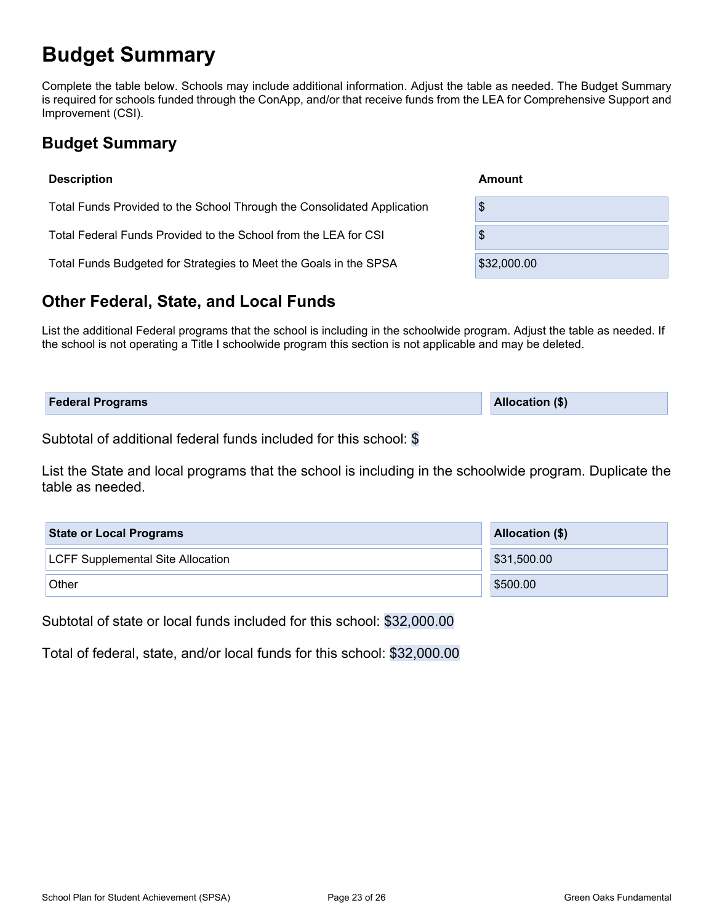### **Budget Summary**

Complete the table below. Schools may include additional information. Adjust the table as needed. The Budget Summary is required for schools funded through the ConApp, and/or that receive funds from the LEA for Comprehensive Support and Improvement (CSI).

### **Budget Summary**

| <b>Description</b>                                                      | Amount      |
|-------------------------------------------------------------------------|-------------|
| Total Funds Provided to the School Through the Consolidated Application | \$          |
| Total Federal Funds Provided to the School from the LEA for CSI         | \$          |
| Total Funds Budgeted for Strategies to Meet the Goals in the SPSA       | \$32,000.00 |

### **Other Federal, State, and Local Funds**

List the additional Federal programs that the school is including in the schoolwide program. Adjust the table as needed. If the school is not operating a Title I schoolwide program this section is not applicable and may be deleted.

| <b>Federal Programs</b> | <b>Allocation (\$)</b> |
|-------------------------|------------------------|
|                         |                        |

Subtotal of additional federal funds included for this school: \$

List the State and local programs that the school is including in the schoolwide program. Duplicate the table as needed.

| <b>State or Local Programs</b>           | Allocation (\$) |
|------------------------------------------|-----------------|
| <b>LCFF Supplemental Site Allocation</b> | \$31,500.00     |
| Other                                    | \$500.00        |

Subtotal of state or local funds included for this school: \$32,000.00

Total of federal, state, and/or local funds for this school: \$32,000.00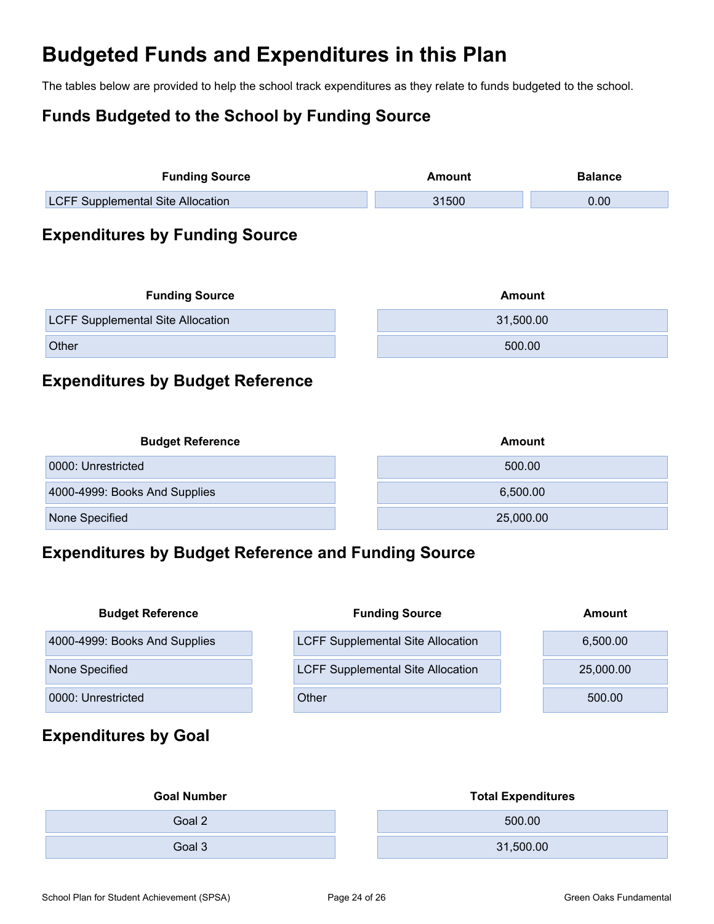# **Budgeted Funds and Expenditures in this Plan**

The tables below are provided to help the school track expenditures as they relate to funds budgeted to the school.

### **Funds Budgeted to the School by Funding Source**

| <b>Funding Source</b>                    |  | Amount    | <b>Balance</b> |  |
|------------------------------------------|--|-----------|----------------|--|
| <b>LCFF Supplemental Site Allocation</b> |  | 31500     | 0.00           |  |
| <b>Expenditures by Funding Source</b>    |  |           |                |  |
| <b>Funding Source</b>                    |  | Amount    |                |  |
| <b>LCFF Supplemental Site Allocation</b> |  | 31,500.00 |                |  |
| Other                                    |  | 500.00    |                |  |

### **Expenditures by Budget Reference**

| <b>Budget Reference</b>       | Amount    |
|-------------------------------|-----------|
| 0000: Unrestricted            | 500.00    |
| 4000-4999: Books And Supplies | 6,500.00  |
| None Specified                | 25,000.00 |

### **Expenditures by Budget Reference and Funding Source**

| <b>Budget Reference</b>       | <b>Funding Source</b>                    | Amount    |
|-------------------------------|------------------------------------------|-----------|
| 4000-4999: Books And Supplies | <b>LCFF Supplemental Site Allocation</b> | 6,500.00  |
| None Specified                | <b>LCFF Supplemental Site Allocation</b> | 25,000.00 |
| 0000: Unrestricted            | Other                                    | 500.00    |

### **Expenditures by Goal**

| <b>Goal Number</b> | <b>Total Expenditures</b> |
|--------------------|---------------------------|
| Goal 2             | 500.00                    |
| Goal 3             | 31,500.00                 |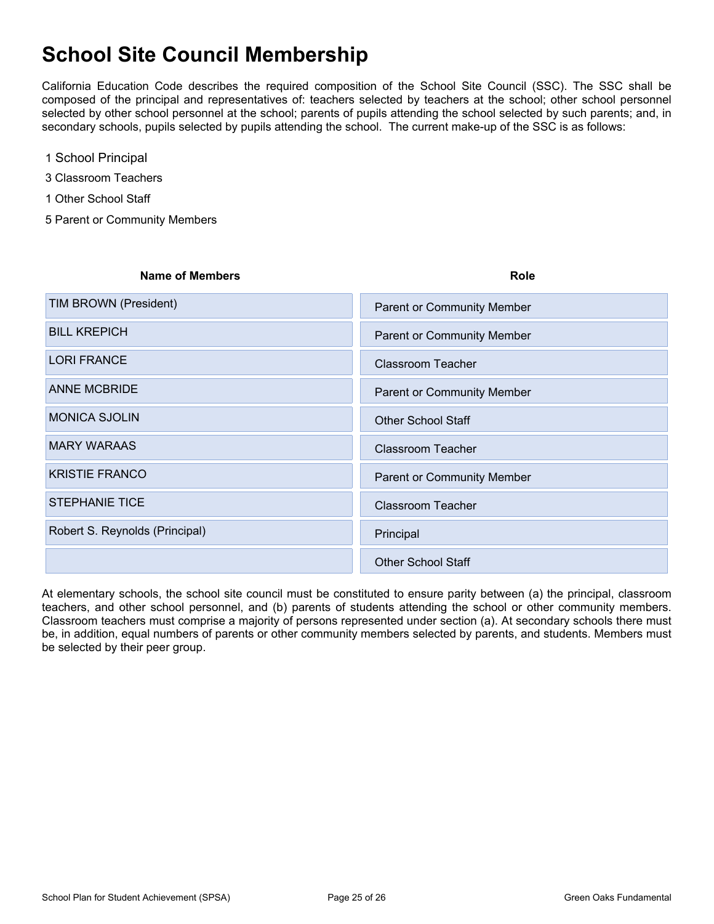# **School Site Council Membership**

California Education Code describes the required composition of the School Site Council (SSC). The SSC shall be composed of the principal and representatives of: teachers selected by teachers at the school; other school personnel selected by other school personnel at the school; parents of pupils attending the school selected by such parents; and, in secondary schools, pupils selected by pupils attending the school. The current make-up of the SSC is as follows:

- 1 School Principal
- 3 Classroom Teachers
- 1 Other School Staff
- 5 Parent or Community Members

| <b>Name of Members</b>         | Role                              |
|--------------------------------|-----------------------------------|
| TIM BROWN (President)          | <b>Parent or Community Member</b> |
| <b>BILL KREPICH</b>            | <b>Parent or Community Member</b> |
| <b>LORI FRANCE</b>             | <b>Classroom Teacher</b>          |
| <b>ANNE MCBRIDE</b>            | <b>Parent or Community Member</b> |
| <b>MONICA SJOLIN</b>           | <b>Other School Staff</b>         |
| <b>MARY WARAAS</b>             | <b>Classroom Teacher</b>          |
| <b>KRISTIE FRANCO</b>          | <b>Parent or Community Member</b> |
| <b>STEPHANIE TICE</b>          | <b>Classroom Teacher</b>          |
| Robert S. Reynolds (Principal) | Principal                         |
|                                | <b>Other School Staff</b>         |

At elementary schools, the school site council must be constituted to ensure parity between (a) the principal, classroom teachers, and other school personnel, and (b) parents of students attending the school or other community members. Classroom teachers must comprise a majority of persons represented under section (a). At secondary schools there must be, in addition, equal numbers of parents or other community members selected by parents, and students. Members must be selected by their peer group.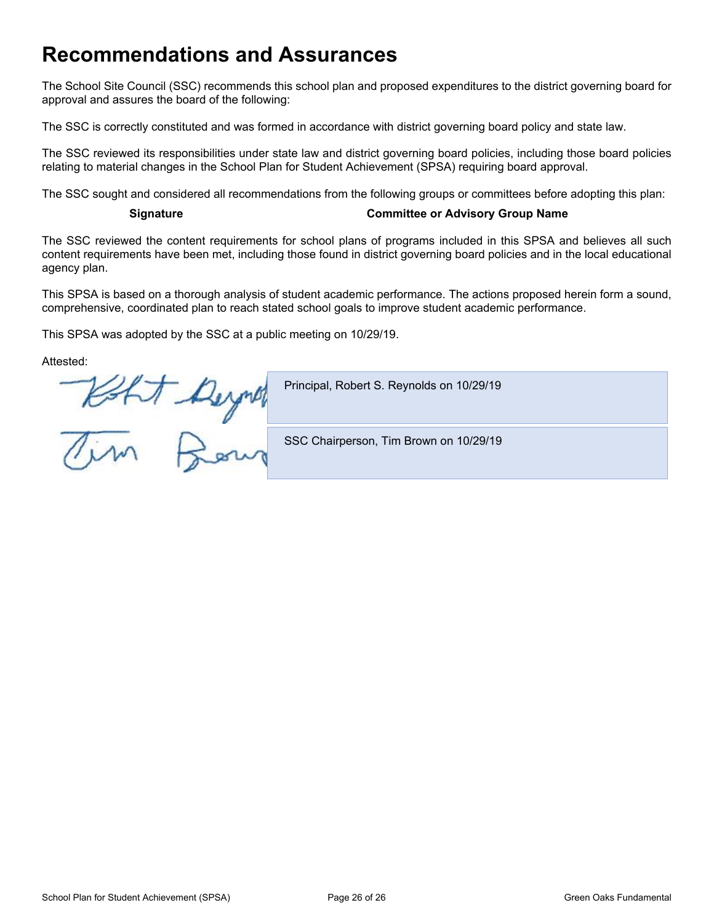### **Recommendations and Assurances**

The School Site Council (SSC) recommends this school plan and proposed expenditures to the district governing board for approval and assures the board of the following:

The SSC is correctly constituted and was formed in accordance with district governing board policy and state law.

The SSC reviewed its responsibilities under state law and district governing board policies, including those board policies relating to material changes in the School Plan for Student Achievement (SPSA) requiring board approval.

The SSC sought and considered all recommendations from the following groups or committees before adopting this plan:

#### **Signature Committee or Advisory Group Name**

The SSC reviewed the content requirements for school plans of programs included in this SPSA and believes all such content requirements have been met, including those found in district governing board policies and in the local educational agency plan.

This SPSA is based on a thorough analysis of student academic performance. The actions proposed herein form a sound, comprehensive, coordinated plan to reach stated school goals to improve student academic performance.

This SPSA was adopted by the SSC at a public meeting on 10/29/19.

Attested:

Principal, Robert S. Reynolds on 10/29/19 Koht Beynes SSC Chairperson, Tim Brown on 10/29/19